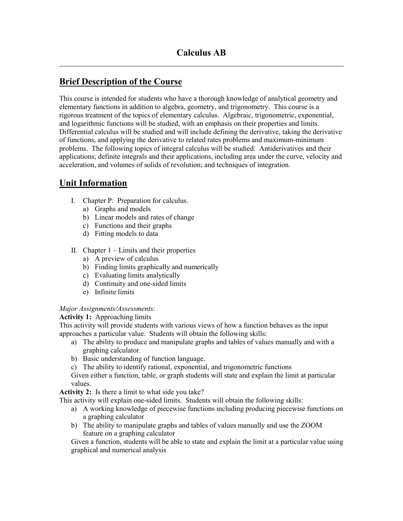# **Brief Description of the Course**

This course is intended for students who have a thorough knowledge of analytical geometry and elementary functions in addition to algebra, geometry, and trigonometry. This course is a rigorous treatment of the topics of elementary calculus. Algebraic, trigonometric, exponential, and logarithmic functions will be studied, with an emphasis on their properties and limits. Differential calculus will be studied and will include defining the derivative, taking the derivative of functions, and applying the derivative to related rates problems and maximum-minimum problems. The following topics of integral calculus will be studied: Antiderivatives and their applications; definite integrals and their applications, including area under the curve, velocity and acceleration, and volumes of solids of revolution; and techniques of integration.

## **Unit Information**

 $\overline{a}$ 

- I. Chapter P: Preparation for calculus.
	- a) Graphs and models
	- b) Linear models and rates of change
	- c) Functions and their graphs
	- d) Fitting models to data
- II. Chapter  $1 -$  Limits and their properties
	- a) A preview of calculus
	- b) Finding limits graphically and numerically
	- c) Evaluating limits analytically
	- d) Continuity and one-sided limits
	- e) Infinite limits

#### *Major Assignments/Assessments:*

**Activity 1:** Approaching limits

This activity will provide students with various views of how a function behaves as the input approaches a particular value. Students will obtain the following skills:

- a) The ability to produce and manipulate graphs and tables of values manually and with a graphing calculator.
- b) Basic understanding of function language.
- c) The ability to identify rational, exponential, and trigonometric functions

Given either a function, table, or graph students will state and explain the limit at particular values.

**Activity 2:** Is there a limit to what side you take?

This activity will explain one-sided limits. Students will obtain the following skills:

- a) A working knowledge of piecewise functions including producing piecewise functions on a graphing calculator
- b) The ability to manipulate graphs and tables of values manually and use the ZOOM feature on a graphing calculator

Given a function, students will be able to state and explain the limit at a particular value using graphical and numerical analysis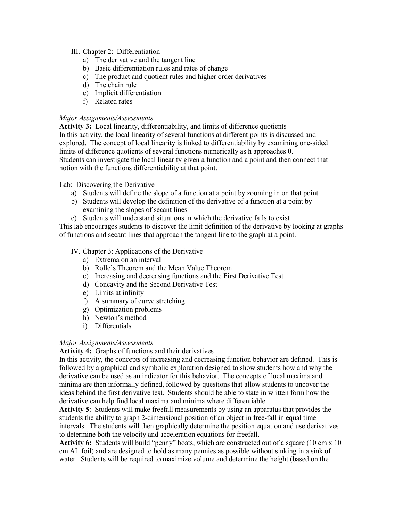#### III. Chapter 2: Differentiation

- a) The derivative and the tangent line
- b) Basic differentiation rules and rates of change
- c) The product and quotient rules and higher order derivatives
- d) The chain rule
- e) Implicit differentiation
- f) Related rates

#### *Major Assignments/Assessments*

**Activity 3:** Local linearity, differentiability, and limits of difference quotients In this activity, the local linearity of several functions at different points is discussed and explored. The concept of local linearity is linked to differentiability by examining one-sided limits of difference quotients of several functions numerically as h approaches 0. Students can investigate the local linearity given a function and a point and then connect that notion with the functions differentiability at that point.

#### Lab: Discovering the Derivative

- a) Students will define the slope of a function at a point by zooming in on that point
- b) Students will develop the definition of the derivative of a function at a point by examining the slopes of secant lines
- c) Students will understand situations in which the derivative fails to exist

This lab encourages students to discover the limit definition of the derivative by looking at graphs of functions and secant lines that approach the tangent line to the graph at a point.

#### IV. Chapter 3: Applications of the Derivative

- a) Extrema on an interval
- b) Rolle's Theorem and the Mean Value Theorem
- c) Increasing and decreasing functions and the First Derivative Test
- d) Concavity and the Second Derivative Test
- e) Limits at infinity
- f) A summary of curve stretching
- g) Optimization problems
- h) Newton's method
- i) Differentials

#### *Major Assignments/Assessments*

#### **Activity 4:** Graphs of functions and their derivatives

In this activity, the concepts of increasing and decreasing function behavior are defined. This is followed by a graphical and symbolic exploration designed to show students how and why the derivative can be used as an indicator for this behavior. The concepts of local maxima and minima are then informally defined, followed by questions that allow students to uncover the ideas behind the first derivative test. Students should be able to state in written form how the derivative can help find local maxima and minima where differentiable.

**Activity 5**: Students will make freefall measurements by using an apparatus that provides the students the ability to graph 2-dimensional position of an object in free-fall in equal time intervals. The students will then graphically determine the position equation and use derivatives to determine both the velocity and acceleration equations for freefall.

**Activity 6:** Students will build "penny" boats, which are constructed out of a square (10 cm x 10 cm AL foil) and are designed to hold as many pennies as possible without sinking in a sink of water. Students will be required to maximize volume and determine the height (based on the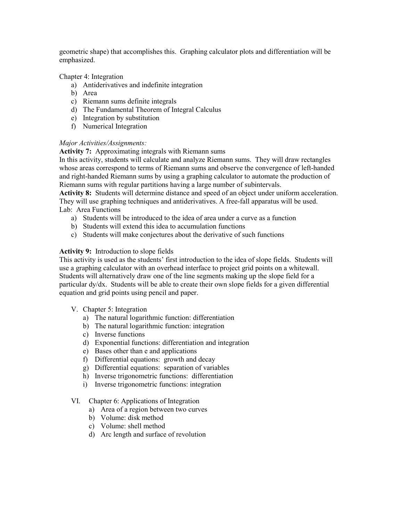geometric shape) that accomplishes this. Graphing calculator plots and differentiation will be emphasized.

Chapter 4: Integration

- a) Antiderivatives and indefinite integration
- b) Area
- c) Riemann sums definite integrals
- d) The Fundamental Theorem of Integral Calculus
- e) Integration by substitution
- f) Numerical Integration

#### *Major Activities/Assignments:*

#### **Activity 7:** Approximating integrals with Riemann sums

In this activity, students will calculate and analyze Riemann sums. They will draw rectangles whose areas correspond to terms of Riemann sums and observe the convergence of left-handed and right-handed Riemann sums by using a graphing calculator to automate the production of Riemann sums with regular partitions having a large number of subintervals.

**Activity 8:** Students will determine distance and speed of an object under uniform acceleration. They will use graphing techniques and antiderivatives. A free-fall apparatus will be used. Lab: Area Functions

- a) Students will be introduced to the idea of area under a curve as a function
- b) Students will extend this idea to accumulation functions
- c) Students will make conjectures about the derivative of such functions

#### **Activity 9:** Introduction to slope fields

This activity is used as the students' first introduction to the idea of slope fields. Students will use a graphing calculator with an overhead interface to project grid points on a whitewall. Students will alternatively draw one of the line segments making up the slope field for a particular dy/dx. Students will be able to create their own slope fields for a given differential equation and grid points using pencil and paper.

- V. Chapter 5: Integration
	- a) The natural logarithmic function: differentiation
	- b) The natural logarithmic function: integration
	- c) Inverse functions
	- d) Exponential functions: differentiation and integration
	- e) Bases other than e and applications
	- f) Differential equations: growth and decay
	- g) Differential equations: separation of variables
	- h) Inverse trigonometric functions: differentiation
	- i) Inverse trigonometric functions: integration
- VI. Chapter 6: Applications of Integration
	- a) Area of a region between two curves
	- b) Volume: disk method
	- c) Volume: shell method
	- d) Arc length and surface of revolution